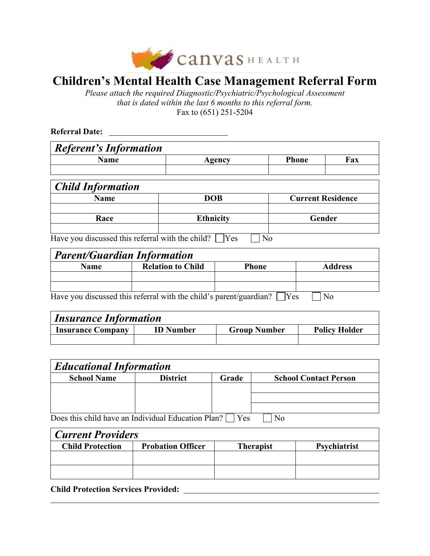

# **Children's Mental Health Case Management Referral Form**

*Please attach the required Diagnostic/Psychiatric/Psychological Assessment that is dated within the last 6 months to this referral form.* Fax to (651) 251-5204

**Referral Date:** 

| <b>Referent's Information</b> |        |       |     |
|-------------------------------|--------|-------|-----|
| Name                          | Agency | Phone | Fax |
|                               |        |       |     |

| <b>Child Information</b>                                                                                                                                                                                                                                                   |                  |                          |
|----------------------------------------------------------------------------------------------------------------------------------------------------------------------------------------------------------------------------------------------------------------------------|------------------|--------------------------|
| <b>Name</b>                                                                                                                                                                                                                                                                | <b>DOB</b>       | <b>Current Residence</b> |
|                                                                                                                                                                                                                                                                            |                  |                          |
| Race                                                                                                                                                                                                                                                                       | <b>Ethnicity</b> | Gender                   |
|                                                                                                                                                                                                                                                                            |                  |                          |
| $\mathbf{H} = \begin{bmatrix} 1 \\ 2 \end{bmatrix}$ and $\begin{bmatrix} 1 \\ 3 \end{bmatrix}$ and $\begin{bmatrix} 1 \\ 2 \end{bmatrix}$ and $\begin{bmatrix} 1 \\ 3 \end{bmatrix}$ and $\begin{bmatrix} 1 \\ 2 \end{bmatrix}$ and $\begin{bmatrix} 1 \\ 2 \end{bmatrix}$ |                  |                          |

Have you discussed this referral with the child?  $\Box$  Yes  $\Box$  No

| <b>Parent/Guardian Information</b> |                                                                    |              |                |  |
|------------------------------------|--------------------------------------------------------------------|--------------|----------------|--|
| Name                               | <b>Relation to Child</b>                                           | <b>Phone</b> | <b>Address</b> |  |
|                                    |                                                                    |              |                |  |
|                                    |                                                                    |              |                |  |
|                                    | Have you discussed this referral with the child's parent/guardian? | 'Yes         | No             |  |

| <i><b>Insurance Information</b></i> |                  |                     |                      |  |
|-------------------------------------|------------------|---------------------|----------------------|--|
| <b>Insurance Company</b>            | <b>ID</b> Number | <b>Group Number</b> | <b>Policy Holder</b> |  |
|                                     |                  |                     |                      |  |

| <b>Educational Information</b>                     |                 |            |                              |  |
|----------------------------------------------------|-----------------|------------|------------------------------|--|
| <b>School Name</b>                                 | <b>District</b> | Grade      | <b>School Contact Person</b> |  |
|                                                    |                 |            |                              |  |
|                                                    |                 |            |                              |  |
|                                                    |                 |            |                              |  |
| Does this child have an Individual Education Plan? |                 | <b>Yes</b> | No                           |  |

| <b>Current Providers</b> |                          |                  |                     |  |  |
|--------------------------|--------------------------|------------------|---------------------|--|--|
| <b>Child Protection</b>  | <b>Probation Officer</b> | <b>Therapist</b> | <b>Psychiatrist</b> |  |  |
|                          |                          |                  |                     |  |  |
|                          |                          |                  |                     |  |  |
|                          |                          |                  |                     |  |  |

**Child Protection Services Provided:**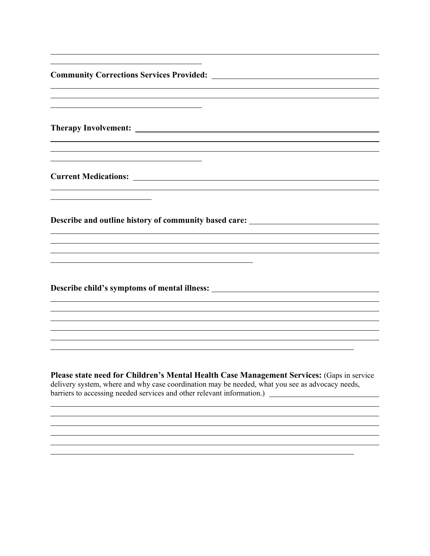| <b>Community Corrections Services Provided:</b> The Community Corrections Services Provided:                                                                                                 |
|----------------------------------------------------------------------------------------------------------------------------------------------------------------------------------------------|
|                                                                                                                                                                                              |
| <b>Therapy Involvement:</b> Therapy Involvement:                                                                                                                                             |
|                                                                                                                                                                                              |
| Describe and outline history of community based care: __________________________                                                                                                             |
|                                                                                                                                                                                              |
| Describe child's symptoms of mental illness:                                                                                                                                                 |
|                                                                                                                                                                                              |
| Please state need for Children's Mental Health Case Management Services: (Gaps in service<br>delivery system, where and why case coordination may be needed, what you see as advocacy needs, |

<u> 1989 - Andrea San Andrea San Andrea San Andrea San Andrea San Andrea San Andrea San Andrea San Andrea San An</u>